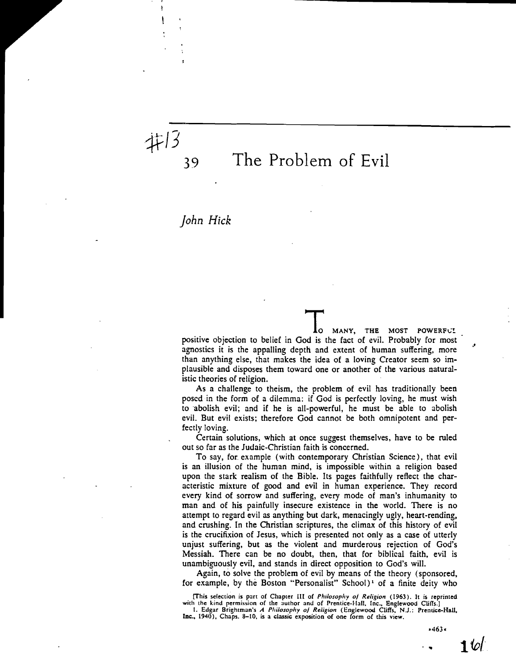*,1t/3* 

# 39 The Problem of Evil

*John Hick* 

MANY, THE MOST POWERFUL positive objection to belief in God is the fact of evil. Probably for most agnostics it is the appalling depth and extent of human suffering, more than anything else, that makes the idea of a loving Creator seem so implausible and disposes them toward one or another of the various naturalistic theories of religion.

As a challenge to theism, the problem of evil has traditionally been posed in the form of a dilemma: if God is perfectly loving, he must wish to 'abolish evil; and if he is all-powerful, he must be able to abolish evil. But evil exists; therefore God cannot be both omnipotent and perfectly loving.

Certain solutions, which at once suggest themselves, have to be ruled out so far as the Judaic-Christian faith is concerned.

To say, for example (with contemporary Christian Science), that evil is an illusion of the human mind, is impossible within a religion based upon the stark realism of the Bible. Its pages faithfully reflect the characteristic mixture of good and evil in human experience. They record every kind of sorrow and suffering, every mode of man's inhumanity to man and of his painfully insecure existence in the world. There is no attempt to regard evil as anything but dark, menacingly ugly, heart-rending, and crushing. In the Christian scriptures, the climax of this history of evil is the crucifixion of Jesus, which is presented not only as a case of utterly unjust suffering, but as the violent and murderous rejection of God's Messiah. There can be no doubt, then, that for biblical faith, evil is unambiguously evil, and stands in direct opposition to God's will.

Again, to solve the problem of evil by means of the theory (sponsored, for example, by the Boston "Personalist" School)<sup>1</sup> of a finite deity who

[This selection is part of Chapter III of *Philosophy of Religion* (1963). It is reprinted with the kind permission of the author and of Prentice-Hall, Inc., Englewood Cliffs.]<br>1. Edgar Brightman's A Philosophy of Religion

Inc., 1940), Chaps. 8-10, is a classic exposition of one form of this view.

0463«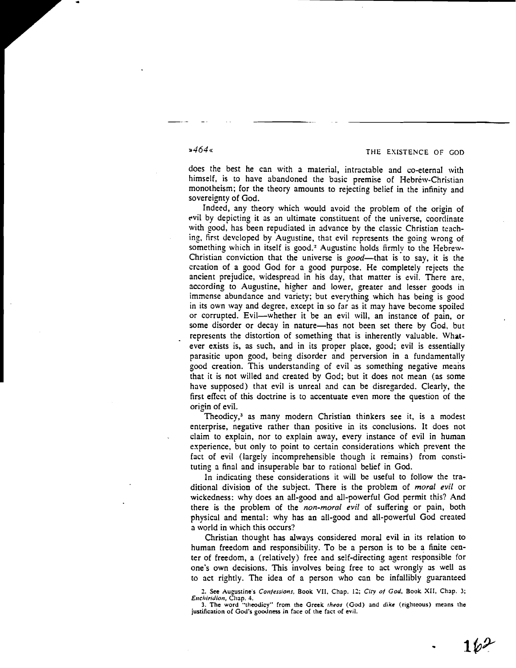»464« THE EXISTENCE OF GOD

does the best he can with a material, intractable and co-eternal with himself. is to have abandoned the basic premise of Hebrew-Christian monotheism; for the theory amounts to rejecting belief in the infinity and sovereignty of God.

Indeed, any theory which would avoid the problem of the origin of evil by depicting it as an ultimate constituent of the universe, coordinate with good, has been repudiated in advance by the classic Christian teaching. first developed by Augustine, that evil represents the going wrong of something which in itself is good.<sup>2</sup> Augustine holds firmly to the Hebrew-Christian conviction that the universe is *good*-that is to say, it is the creation of a good God for a good purpose. He completely rejects the ancient prejudice, widespread in his day, that matter is evil. There are, according to Augustine, higher and lower, greater and lesser goods in immense abundance and variety; but everything which has being is good in its own way and degree, except in so far as it may have become spoiled or corrupted. Evil-whether it be an evil will, an instance of pain, or some disorder or decay in nature-has not been set there by God, but represents the distortion of something that is inherently valuable. Whatever exists is, as such, and in its proper place, good; evil is essentially parasitic upon good, being disorder and perversion in a fundamentally good creation. This understanding of evil as something negative means that it is not willed and created by God; but it does not mean (as some have supposed) that evil is unreal and can be disregarded. Clearly, the first effect of this doctrine is to accentuate even more the question of the origin of evil.

Theodicy,3 as many modern Christian thinkers see it, is a modest enterprise, negative rather than positive in its conclusions. It does not claim to explain, nor to explain away, every instance of evil in human experience, but only to point to certain considerations which prevent the fact of evil (largely incomprehensible though it remains) from constituting a final and insuperable bar to rational belief in God.

In indicating these considerations it will be useful to follow the traditional division of the subject. There is the problem of *moral evil* or wickedness: why does an all-good and all-powerful God permit this? And there is the problem of the *non-moral evil* of suffering or pain, both physical and mental: why has an all-good and all-powerful God created a world in which this occurs?

Christian thought has always considered moral evil in its relation to human freedom and responsibility. To be a person is to be a finite center of freedom, a (relatively) free and self-directing agent responsible for one's own decisions. This involves being free to act wrongly as well as to act rightly. The idea of a person who can be infallibly guaranteed

2. See Augustine's *Confessions.* Book VII, Chap, 12; *City of God.* Book XII, Chap, 3; Enchiridion, Chap. 4.<br>3. The word "theodicy" from the Greek *theos* (God) and *dike* (righteous) means the

justification of God's goodness in face of the fact of evil.

 $1b^2$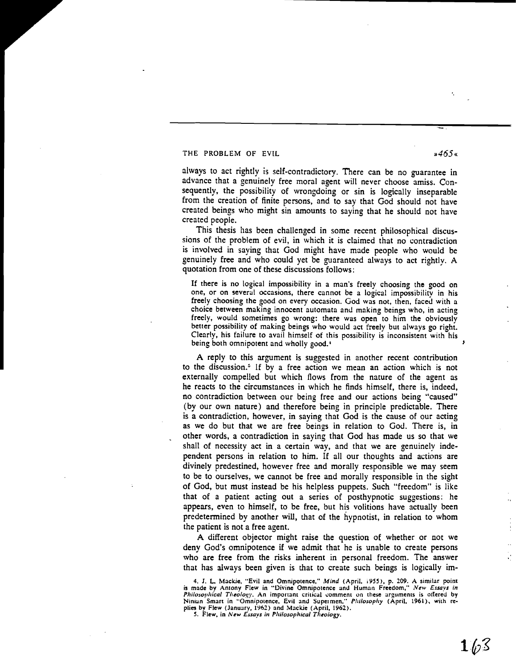#### THE PROBLEM OF EVIL **Example 2008** and the state of the state of the state of the state of the state of the state of the state of the state of the state of the state of the state of the state of the state of the state of t

always to act rightly is self-contradictory. There can be no guarantee in advance that a genuinely free moral agent will never choose amiss. Consequently, the possibility of wrongdoing or sin is logically inseparable from the creation of finite persons, and to say that God should not have created beings who might sin amounts to saying that he should not have created people.

This thesis has been challenged in some recent philosophical discussions of the problem of evil, in which it is claimed that no contradiction is involved in saying that God might have made people who would be genuinely free and who could yet be guaranteed always to act rightly. A quotation from one of these discussions follows:

If there is no logical impossibility in a man's freely choosing the good on one, or on several occasions, there cannot be a logical impossibility in his freely choosing the good on every occasion. God was not, then, faced with a choice between making innocent automata and making beings who, in acting freely, would sometimes go wrong: there was open to him the obviously better possibility of making beings who would act freely but always go right. Clearly, his failure to avail himself of this possibility is inconsistent with his being both omnipotent and wholly good.'

A reply to this argument is suggested in another recent contribution to the discussion.<sup>5</sup> If by a free action we mean an action which is not externally compelled but which flows from the nature of the agent as he reacts to the circumstances in which he finds himself, there is, indeed, no contradiction between our being free and our actions being "caused" (by our own nature) and therefore being in principle predictable. There is a contradiction, however, in saying that God is the cause of our acting as we do but that we are free beings in relation to God. There is, in other words, a contradiction in saying that God has made us so that we shall of necessity act in a certain way, and that we are genuinely independent persons in relation to him. If all our thoughts and actions are divinely predestined, however free and morally responsible we may seem to be to ourselves, we cannot be free and morally responsible in the sight of God, but must instead be his helpless puppets. Such "freedom" is like that of a patient acting out a series of posthypnotic suggestions: he appears, even to himself, to be free, but his volitions have actually been predetermined by another will, that of the hypnotist, in relation to whom the patient is not a free agent.

A different objector might raise the question of whether or not we deny God's omnipotence if we admit that he is unable to create persons who are free from the risks inherent in personal freedom. The answer that has always been given is that to create such beings is logically im-

4. J. L. Mackie, "Evil and Omnipotence," *Mind* (April, 1955), p. 209. A similar point is made by Antony Flew in "Divine Omnipotence and Human Freedom," *New Essays in Philosophical Theology*. An important critical comment on these arguments is offered by<br>Ninian Smart in "Omnipotence, Evil and Supermen," *Philosophy* (April, 1961), with replies by Flew (January, 1962) and Mackie (April, 1962).

5. Flew, in *New Essays in Philosophical Theology*.

 $\ddotsc$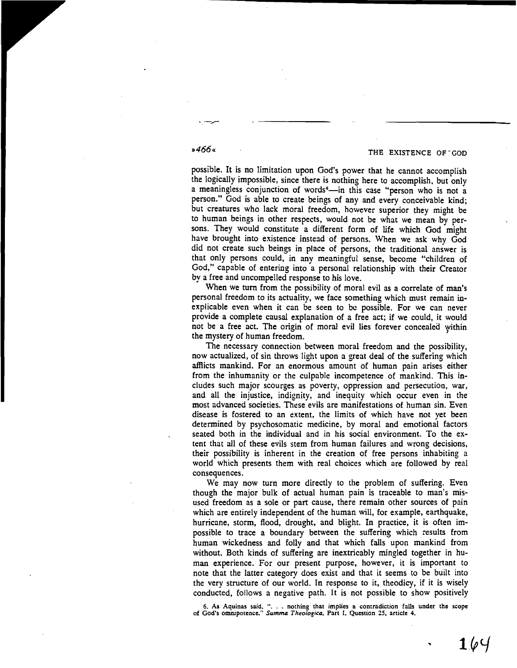## »466« THE EXISTENCE OF - GOD

possible. It is no limitation upon God's power that he cannot accomplish the logically impossible, since there is nothing here to accomplish, but only a meaningless conjunction of words<sup>6</sup>—in this case "person who is not a person." God is able to create beings of any and every conceivable kind; but creatures who lack moral freedom, however superior they might be to human beings in other respects, would not be what we mean by persons. They would constitute a different form of life which God might have brought into existence instead of persons. When we ask why God did not create such beings in place of persons, the traditional answer is that only persons could, in any meaningful sense, become "children of God," capable of entering into a personal relationship with their Creator by a free and uncompelled response to his love.

".~~

When we tum from the possibility of moral evil as a correlate of man's personal freedom to its actuality, we face something which must remain inexplicable even when it can be seen to be possible. For we can never provide a complete causal explanation of a free act; if we could, it would not be a free act. The origin of moral evil lies forever concealed within the mystery of human freedom.

The necessary connection between moral freedom and the possibility, now actualized, of sin throws light upon a great deal of the suffering which afflicts mankind. For an enormous amount of human pain arises either from the inhumanity or the culpable incompetence of mankind. This includes such major scourges as poverty, oppression and persecution, war, and all the injustice, indignity, and inequity which occur even in the most advanced societies. These evils are manifestations of human sin. Even disease is fostered to an extent, the limits of which have not yet been determined by psychosomatic medicine, by moral and emotional factors seated both in the individual and in his social environment. To the extent that all of these evils stem from human failures and wrong decisions, their possibility is inherent in the creation of free persons inhabiting a world which presents them with real choices which are followed by real consequences.

We may now turn more directly to the problem of suffering. Even though the major bulk of actual human pain is traceable to man's misused freedom as a sole or part cause, there remain other sources of pain which are entirely independent of the human will, for example, earthquake, hurricane, storm, flood, drought, and blight. In practice, it is often impossible to trace a boundary between the suffering which results from human wickedness and folly and that which falls upon mankind from without. Both kinds of suffering are inextricably mingled together in human experience. For our present purpose, however, it is important to note that the latter category does exist and that it seems to be built into the very structure of our world. In response to it, theodicy, if it is wisely conducted, follows a negative path. It is not possible to show positively

6. As Aquinas said, ". . . nothing thaI implies a contradiction falls under the scope of God's omnipotence." *Summa Theologica.* Pari I. Question 25, article 4.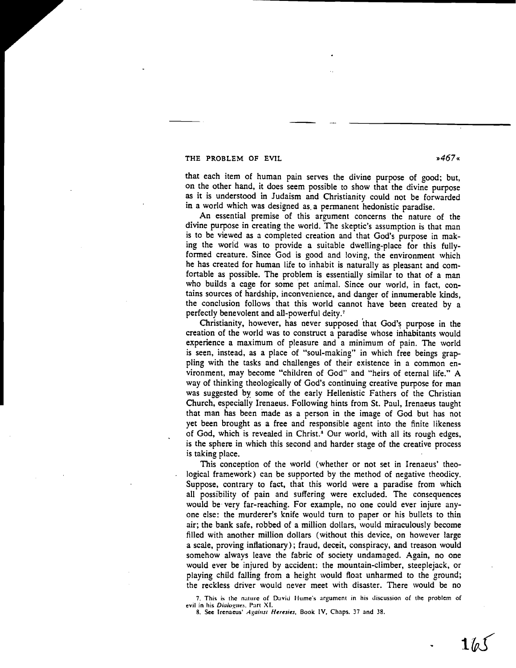### THE PROBLEM OF EVIL **EXECUTE:** THE PROBLEM OF EVIL

that each item of human pain serves the divine purpose of good; but, on the other hand, it does seem possible to show that the divine purpose as it is understood in Judaism and Christianity could not be forwarded in a world which was designed as, a permanent hedonistic paradise.

An essential premise of this argument concerns the nature of the divine purpose in creating the world. The skeptic's assumption is that man is to be viewed as a completed creation and that God's purpose in making the world was to provide a suitable dwelling-place for this fullyformed creature. Since God is good and loving, the environment which he has created for human life to inhabit is naturally as pleasant and comfortable as possible. The problem is essentially similar to that of a man who builds a cage for some pet animal. Since our world, in fact, contains sources of hardship, inconvenience, and danger of innumerable kinds, the conclusion follows that this world cannot have been created by a perfectly benevolent and all-powerful deity. <sup>7</sup>

Christianity, however, has never supposed that God's purpose in the creation of the world was to construct a paradise whose inhabitants would experience a maximum of pleasure and a minimum of pain. The world is seen, instead, as a place of "soul-making" in which free beings grappling with the tasks and challenges of their existence in a common environment, may become "children of God" and "heirs of etemal life." A way of thinking theologically of God's continuing creative purpose for man was suggested by some of the early Hellenistic Fathers of the Christian Church, especially Irenaeus. Following hints from St. Paul, Irenaeus taught that man has been made as a person in the image of God but has not yet been brought as a free and responsible agent into the finite likeness of God, which is revealed in Christ.<sup>3</sup> Our world, with all its rough edges, is the sphere in which this second and harder stage of the creative process is taking place.

This conception of the world (whether or not set in Irenaeus' theological framework) can be supported by the method of negative theodicy. Suppose, contrary to fact, that this world were a paradise from which all possibility of pain and suffering were excluded. The consequences would be very far-reaching. For example, no one could ever injure anyone else: the murderer's knife would turn to paper or his bullets to thin air; the bank safe, robbed of a million dollars, would miraculously become filled with another million dollars (without this device, on however large a scale, proving inflationary); fraud, deceit, conspiracy, and treason would somehow always leave the fabric of society undamaged. Again, no one would ever be injured by accident: the mountain-climber, steeplejack, or playing child falling from a height would float unharmed to the ground; the reckless driver would never meet with disaster. There would be no

7. This is the nature of David Hume's argument in his discussion of the problem of evil in his Dialogues, Part XI.

8. See Irenaeus' Against Heresies, Book IV, Chaps. 37 and 38.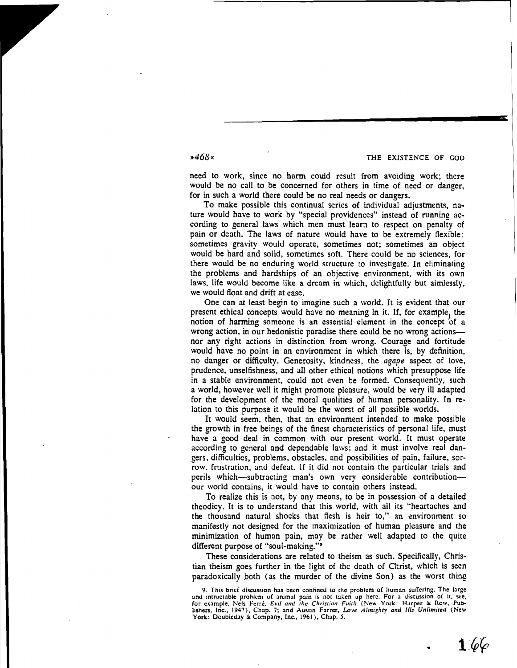»468« THE EXISTENCE OF GOD

need to work, since no harm could result from avoiding work; there would be no call to be concerned for others in time of need or danger, for in such a world there could be no real needs or dangers.

To make possible this continual series of individual adjustments, nature would have to work by "special providences" instead of running according to general laws which men must learn to respect on penalty of pain or death. The laws of nature would have to be extremely flexible: sometimes gravity would operate, sometimes not; sometimes an object would be hard and solid, sometimes soft. There could be no sciences, for there would be no enduring world structure to investigate. In eliminating the problems and hardships of an objective environment, with its own laws, life would become like a dream in which, delightfully but aimlessly, we would float and drift at ease.

One can at least begin to imagine such a world. It is evident that our present ethical concepts would have no meaning in it. If, for example, the notion of harming someone is an essential element in the concept 'of a wrong action, in our hedonistic paradise there could be no wrong actionsnor any right actions in distinction from wrong. Courage and fortitude would have no point in an environment in which there is, by definition, no danger or difficulty. Generosity, kindness, the agape aspect of love, prudence, unselfishness, and all other ethical notions which presuppose life in a stable environment, could not even be formed. Consequently, such a world, however well it might promote pleasure, would be very ill adapted for the development of the moral qualities of human personality. In relation to this purpose it would be the worst of all possible worlds.

It would seem, then, that an environment intended to make possible the growth in free beings of the finest characteristics of personal life, must have a good deal in common with our prescnt world. It must operate according to general and dependable laws; and it must involve real dangers, difficulties, problems, obstacles, and possibilities of pain, failure, sorrow. frustration, and defeat. If it did not contain the particular trials and perils which-subtracting man's own very considerable contributionour world contains, it would have to contain others instead.

To realize this is not, by any means, to be in possession of a detailed theodicy. It is to understand that this world, with all its "heartaches and the thousand natural shocks that flesh is heir to," an environment so manifestly not designed for the maximization of human pleasure and the minimization of human pain, may be rather well adapted to the quite different purpose of "soul-making."<sup>9</sup>

These considerations are related to theism as such. Specifically, Christian theism goes further in the light of the death of Christ, which is seen paradoxically both (as the murder of the divine Son) as the worst thing

<sup>9.</sup> This brief discussion has been confined to the problem of human suffering. The large and intractable problem of animal pain is not taken up here. For a discussion of it, see,<br>for example, Nels Ferré, Evil and the Christian Faith (New York: Harper & Row, Pub-<br>lishers, Inc., 1947), Chap. 7; and Austin Farrer York.: Doubleday & Company, Inc., 1961), Chap. S.